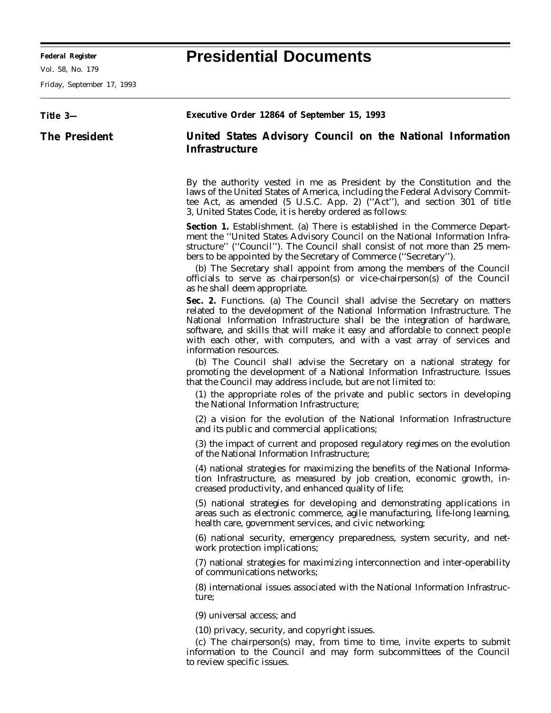**Federal Register Presidential Documents**

Friday, September 17, 1993

| Title 3-             | Executive Order 12864 of September 15, 1993                                                                                                                                                                                                                                                                                                                                                                                                                                                         |
|----------------------|-----------------------------------------------------------------------------------------------------------------------------------------------------------------------------------------------------------------------------------------------------------------------------------------------------------------------------------------------------------------------------------------------------------------------------------------------------------------------------------------------------|
| <b>The President</b> | United States Advisory Council on the National Information<br><b>Infrastructure</b>                                                                                                                                                                                                                                                                                                                                                                                                                 |
|                      | By the authority vested in me as President by the Constitution and the<br>laws of the United States of America, including the Federal Advisory Commit-<br>tee Act, as amended (5 U.S.C. App. 2) ("Act"), and section 301 of title<br>3, United States Code, it is hereby ordered as follows:                                                                                                                                                                                                        |
|                      | Section 1. Establishment. (a) There is established in the Commerce Depart-<br>ment the "United States Advisory Council on the National Information Infra-<br>structure" ("Council"). The Council shall consist of not more than 25 mem-<br>bers to be appointed by the Secretary of Commerce ("Secretary").<br>(b) The Secretary shall appoint from among the members of the Council<br>officials to serve as chairperson(s) or vice-chairperson(s) of the Council<br>as he shall deem appropriate. |
|                      | Sec. 2. Functions. (a) The Council shall advise the Secretary on matters<br>related to the development of the National Information Infrastructure. The<br>National Information Infrastructure shall be the integration of hardware,<br>software, and skills that will make it easy and affordable to connect people<br>with each other, with computers, and with a vast array of services and<br>information resources.                                                                             |
|                      | (b) The Council shall advise the Secretary on a national strategy for<br>promoting the development of a National Information Infrastructure. Issues<br>that the Council may address include, but are not limited to:                                                                                                                                                                                                                                                                                |
|                      | (1) the appropriate roles of the private and public sectors in developing<br>the National Information Infrastructure;                                                                                                                                                                                                                                                                                                                                                                               |
|                      | (2) a vision for the evolution of the National Information Infrastructure<br>and its public and commercial applications;                                                                                                                                                                                                                                                                                                                                                                            |
|                      | (3) the impact of current and proposed regulatory regimes on the evolution<br>of the National Information Infrastructure;                                                                                                                                                                                                                                                                                                                                                                           |
|                      | (4) national strategies for maximizing the benefits of the National Informa-<br>tion Infrastructure, as measured by job creation, economic growth, in-<br>creased productivity, and enhanced quality of life;                                                                                                                                                                                                                                                                                       |
|                      | (5) national strategies for developing and demonstrating applications in<br>areas such as electronic commerce, agile manufacturing, life-long learning,<br>health care, government services, and civic networking;                                                                                                                                                                                                                                                                                  |
|                      | (6) national security, emergency preparedness, system security, and net-<br>work protection implications;                                                                                                                                                                                                                                                                                                                                                                                           |
|                      | (7) national strategies for maximizing interconnection and inter-operability<br>of communications networks;                                                                                                                                                                                                                                                                                                                                                                                         |
|                      | (8) international issues associated with the National Information Infrastruc-<br>ture;                                                                                                                                                                                                                                                                                                                                                                                                              |
|                      | (9) universal access; and                                                                                                                                                                                                                                                                                                                                                                                                                                                                           |
|                      | (10) privacy, security, and copyright issues.<br>(c) The chairperson(s) may, from time to time, invite experts to submit<br>information to the Council and may form subcommittees of the Council<br>to review specific issues.                                                                                                                                                                                                                                                                      |
|                      |                                                                                                                                                                                                                                                                                                                                                                                                                                                                                                     |